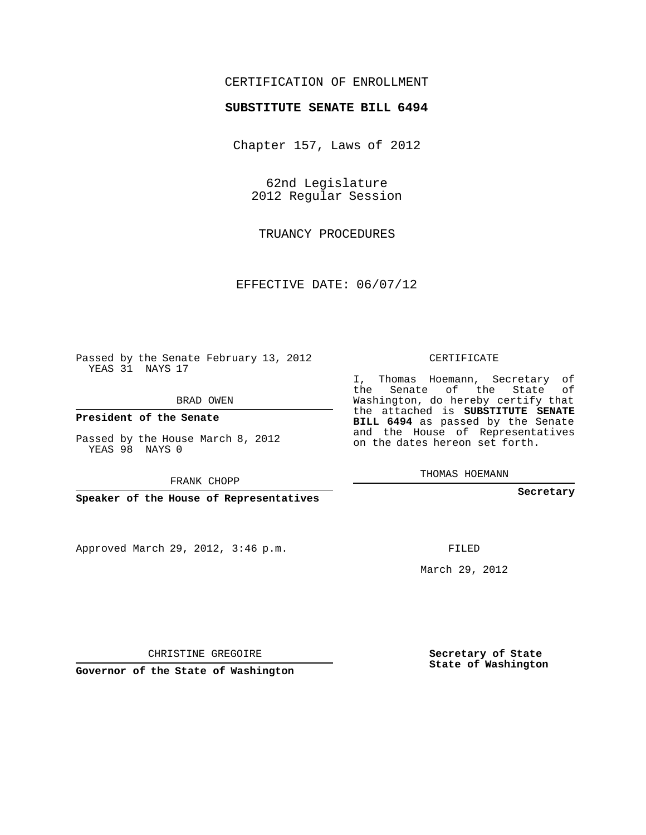## CERTIFICATION OF ENROLLMENT

## **SUBSTITUTE SENATE BILL 6494**

Chapter 157, Laws of 2012

62nd Legislature 2012 Regular Session

TRUANCY PROCEDURES

EFFECTIVE DATE: 06/07/12

Passed by the Senate February 13, 2012 YEAS 31 NAYS 17

BRAD OWEN

**President of the Senate**

Passed by the House March 8, 2012 YEAS 98 NAYS 0

FRANK CHOPP

**Speaker of the House of Representatives**

Approved March 29, 2012, 3:46 p.m.

CERTIFICATE

I, Thomas Hoemann, Secretary of the Senate of the State of Washington, do hereby certify that the attached is **SUBSTITUTE SENATE BILL 6494** as passed by the Senate and the House of Representatives on the dates hereon set forth.

THOMAS HOEMANN

**Secretary**

FILED

March 29, 2012

**Secretary of State State of Washington**

CHRISTINE GREGOIRE

**Governor of the State of Washington**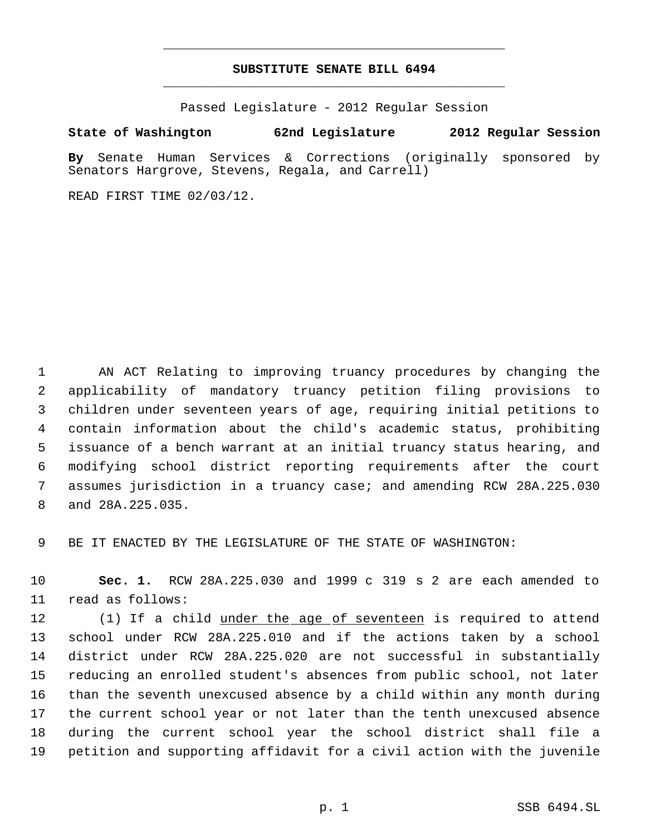## **SUBSTITUTE SENATE BILL 6494** \_\_\_\_\_\_\_\_\_\_\_\_\_\_\_\_\_\_\_\_\_\_\_\_\_\_\_\_\_\_\_\_\_\_\_\_\_\_\_\_\_\_\_\_\_

\_\_\_\_\_\_\_\_\_\_\_\_\_\_\_\_\_\_\_\_\_\_\_\_\_\_\_\_\_\_\_\_\_\_\_\_\_\_\_\_\_\_\_\_\_

Passed Legislature - 2012 Regular Session

## **State of Washington 62nd Legislature 2012 Regular Session**

**By** Senate Human Services & Corrections (originally sponsored by Senators Hargrove, Stevens, Regala, and Carrell)

READ FIRST TIME 02/03/12.

 AN ACT Relating to improving truancy procedures by changing the applicability of mandatory truancy petition filing provisions to children under seventeen years of age, requiring initial petitions to contain information about the child's academic status, prohibiting issuance of a bench warrant at an initial truancy status hearing, and modifying school district reporting requirements after the court assumes jurisdiction in a truancy case; and amending RCW 28A.225.030 and 28A.225.035.

BE IT ENACTED BY THE LEGISLATURE OF THE STATE OF WASHINGTON:

 **Sec. 1.** RCW 28A.225.030 and 1999 c 319 s 2 are each amended to read as follows:

12 (1) If a child under the age of seventeen is required to attend school under RCW 28A.225.010 and if the actions taken by a school district under RCW 28A.225.020 are not successful in substantially reducing an enrolled student's absences from public school, not later than the seventh unexcused absence by a child within any month during the current school year or not later than the tenth unexcused absence during the current school year the school district shall file a petition and supporting affidavit for a civil action with the juvenile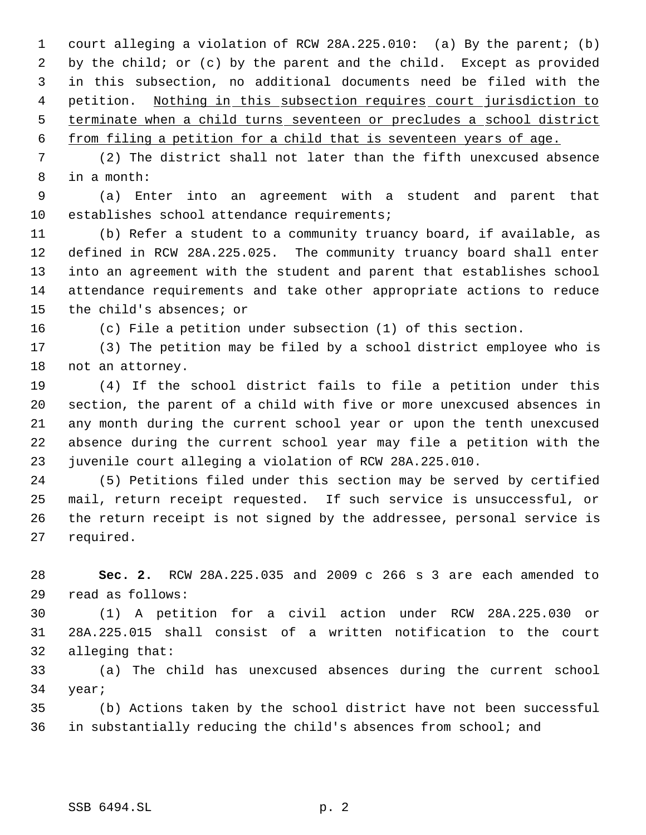court alleging a violation of RCW 28A.225.010: (a) By the parent; (b) by the child; or (c) by the parent and the child. Except as provided in this subsection, no additional documents need be filed with the 4 petition. Nothing in this subsection requires court jurisdiction to terminate when a child turns seventeen or precludes a school district

from filing a petition for a child that is seventeen years of age.

 (2) The district shall not later than the fifth unexcused absence in a month:

 (a) Enter into an agreement with a student and parent that establishes school attendance requirements;

 (b) Refer a student to a community truancy board, if available, as defined in RCW 28A.225.025. The community truancy board shall enter into an agreement with the student and parent that establishes school attendance requirements and take other appropriate actions to reduce the child's absences; or

(c) File a petition under subsection (1) of this section.

 (3) The petition may be filed by a school district employee who is not an attorney.

 (4) If the school district fails to file a petition under this section, the parent of a child with five or more unexcused absences in any month during the current school year or upon the tenth unexcused absence during the current school year may file a petition with the juvenile court alleging a violation of RCW 28A.225.010.

 (5) Petitions filed under this section may be served by certified mail, return receipt requested. If such service is unsuccessful, or the return receipt is not signed by the addressee, personal service is required.

 **Sec. 2.** RCW 28A.225.035 and 2009 c 266 s 3 are each amended to read as follows:

 (1) A petition for a civil action under RCW 28A.225.030 or 28A.225.015 shall consist of a written notification to the court alleging that:

 (a) The child has unexcused absences during the current school year;

 (b) Actions taken by the school district have not been successful in substantially reducing the child's absences from school; and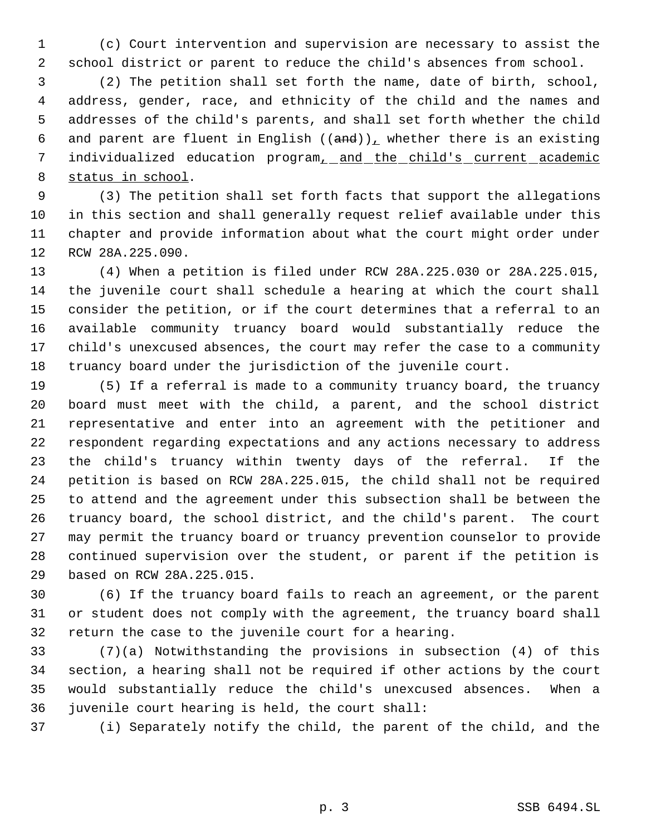(c) Court intervention and supervision are necessary to assist the school district or parent to reduce the child's absences from school.

 (2) The petition shall set forth the name, date of birth, school, address, gender, race, and ethnicity of the child and the names and addresses of the child's parents, and shall set forth whether the child 6 and parent are fluent in English  $((and))_L$  whether there is an existing 7 individualized education program<sub>1</sub> and the child's current academic status in school.

 (3) The petition shall set forth facts that support the allegations in this section and shall generally request relief available under this chapter and provide information about what the court might order under RCW 28A.225.090.

 (4) When a petition is filed under RCW 28A.225.030 or 28A.225.015, the juvenile court shall schedule a hearing at which the court shall consider the petition, or if the court determines that a referral to an available community truancy board would substantially reduce the child's unexcused absences, the court may refer the case to a community truancy board under the jurisdiction of the juvenile court.

 (5) If a referral is made to a community truancy board, the truancy board must meet with the child, a parent, and the school district representative and enter into an agreement with the petitioner and respondent regarding expectations and any actions necessary to address the child's truancy within twenty days of the referral. If the petition is based on RCW 28A.225.015, the child shall not be required to attend and the agreement under this subsection shall be between the truancy board, the school district, and the child's parent. The court may permit the truancy board or truancy prevention counselor to provide continued supervision over the student, or parent if the petition is based on RCW 28A.225.015.

 (6) If the truancy board fails to reach an agreement, or the parent or student does not comply with the agreement, the truancy board shall return the case to the juvenile court for a hearing.

 (7)(a) Notwithstanding the provisions in subsection (4) of this section, a hearing shall not be required if other actions by the court would substantially reduce the child's unexcused absences. When a juvenile court hearing is held, the court shall:

(i) Separately notify the child, the parent of the child, and the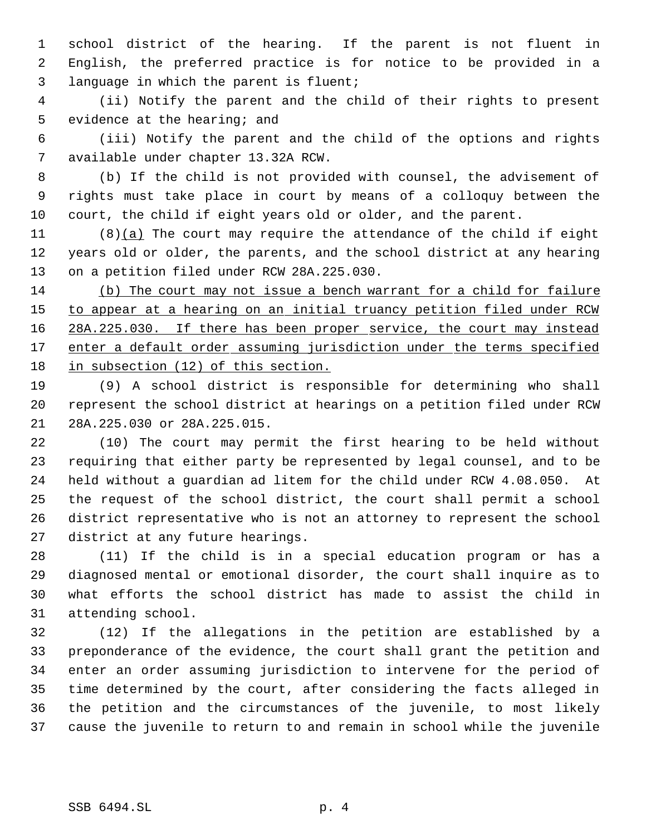school district of the hearing. If the parent is not fluent in English, the preferred practice is for notice to be provided in a language in which the parent is fluent;

 (ii) Notify the parent and the child of their rights to present 5 evidence at the hearing; and

 (iii) Notify the parent and the child of the options and rights available under chapter 13.32A RCW.

 (b) If the child is not provided with counsel, the advisement of rights must take place in court by means of a colloquy between the court, the child if eight years old or older, and the parent.

 (8)(a) The court may require the attendance of the child if eight years old or older, the parents, and the school district at any hearing on a petition filed under RCW 28A.225.030.

 (b) The court may not issue a bench warrant for a child for failure 15 to appear at a hearing on an initial truancy petition filed under RCW 16 28A.225.030. If there has been proper service, the court may instead 17 enter a default order assuming jurisdiction under the terms specified in subsection (12) of this section.

 (9) A school district is responsible for determining who shall represent the school district at hearings on a petition filed under RCW 28A.225.030 or 28A.225.015.

 (10) The court may permit the first hearing to be held without requiring that either party be represented by legal counsel, and to be held without a guardian ad litem for the child under RCW 4.08.050. At the request of the school district, the court shall permit a school district representative who is not an attorney to represent the school district at any future hearings.

 (11) If the child is in a special education program or has a diagnosed mental or emotional disorder, the court shall inquire as to what efforts the school district has made to assist the child in attending school.

 (12) If the allegations in the petition are established by a preponderance of the evidence, the court shall grant the petition and enter an order assuming jurisdiction to intervene for the period of time determined by the court, after considering the facts alleged in the petition and the circumstances of the juvenile, to most likely cause the juvenile to return to and remain in school while the juvenile